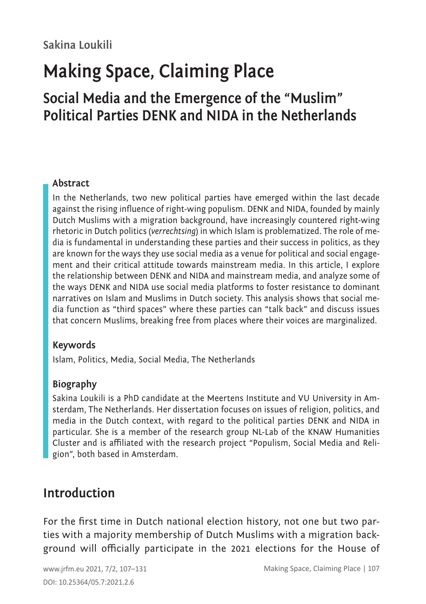# **Making Space, Claiming Place**

# **Social Media and the Emergence of the "Muslim" Political Parties DENK and NIDA in the Netherlands**

#### **Abstract**

In the Netherlands, two new political parties have emerged within the last decade against the rising influence of right-wing populism. DENK and NIDA, founded by mainly Dutch Muslims with a migration background, have increasingly countered right-wing rhetoric in Dutch politics (*verrechtsing*) in which Islam is problematized. The role of media is fundamental in understanding these parties and their success in politics, as they are known for the ways they use social media as a venue for political and social engagement and their critical attitude towards mainstream media. In this article, I explore the relationship between DENK and NIDA and mainstream media, and analyze some of the ways DENK and NIDA use social media platforms to foster resistance to dominant narratives on Islam and Muslims in Dutch society. This analysis shows that social media function as "third spaces" where these parties can "talk back" and discuss issues that concern Muslims, breaking free from places where their voices are marginalized.

#### **Keywords**

Islam, Politics, Media, Social Media, The Netherlands

#### **Biography**

Sakina Loukili is a PhD candidate at the Meertens Institute and VU University in Amsterdam, The Netherlands. Her dissertation focuses on issues of religion, politics, and media in the Dutch context, with regard to the political parties DENK and NIDA in particular. She is a member of the research group NL-Lab of the KNAW Humanities Cluster and is affiliated with the research project "Populism, Social Media and Religion", both based in Amsterdam.

### **Introduction**

For the first time in Dutch national election history, not one but two parties with a majority membership of Dutch Muslims with a migration background will officially participate in the 2021 elections for the House of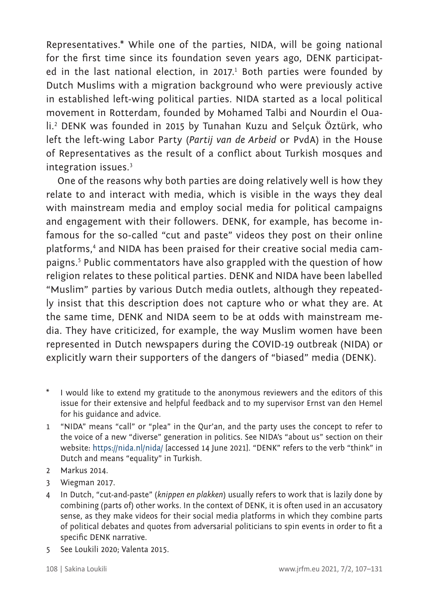Representatives.\* While one of the parties, NIDA, will be going national for the first time since its foundation seven years ago, DENK participated in the last national election, in 2017.<sup>1</sup> Both parties were founded by Dutch Muslims with a migration background who were previously active in established left-wing political parties. NIDA started as a local political movement in Rotterdam, founded by Mohamed Talbi and Nourdin el Ouali.<sup>2</sup> DENK was founded in 2015 by Tunahan Kuzu and Selçuk Öztürk, who left the left-wing Labor Party (*Partij van de Arbeid* or PvdA) in the House of Representatives as the result of a conflict about Turkish mosques and integration issues.<sup>3</sup>

One of the reasons why both parties are doing relatively well is how they relate to and interact with media, which is visible in the ways they deal with mainstream media and employ social media for political campaigns and engagement with their followers. DENK, for example, has become infamous for the so-called "cut and paste" videos they post on their online platforms,<sup>4</sup> and NIDA has been praised for their creative social media campaigns.<sup>5</sup> Public commentators have also grappled with the question of how religion relates to these political parties. DENK and NIDA have been labelled "Muslim" parties by various Dutch media outlets, although they repeatedly insist that this description does not capture who or what they are. At the same time, DENK and NIDA seem to be at odds with mainstream media. They have criticized, for example, the way Muslim women have been represented in Dutch newspapers during the COVID-19 outbreak (NIDA) or explicitly warn their supporters of the dangers of "biased" media (DENK).

- \* I would like to extend my gratitude to the anonymous reviewers and the editors of this issue for their extensive and helpful feedback and to my supervisor Ernst van den Hemel for his guidance and advice.
- 1 "NIDA" means "call" or "plea" in the Qur'an, and the party uses the concept to refer to the voice of a new "diverse" generation in politics. See NIDA's "about us" section on their website:<https://nida.nl/nida/>[accessed 14 June 2021]. "DENK" refers to the verb "think" in Dutch and means "equality" in Turkish.
- 2 Markus 2014.
- 3 Wiegman 2017.
- 4 In Dutch, "cut-and-paste" (*knippen en plakken*) usually refers to work that is lazily done by combining (parts of) other works. In the context of DENK, it is often used in an accusatory sense, as they make videos for their social media platforms in which they combine parts of political debates and quotes from adversarial politicians to spin events in order to fit a specific DENK narrative.
- 5 See Loukili 2020; Valenta 2015.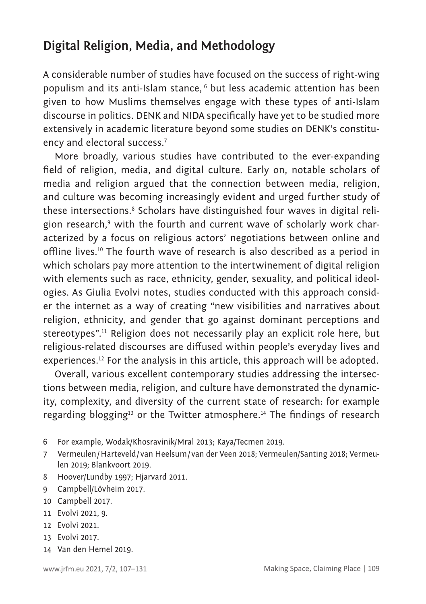# **Digital Religion, Media, and Methodology**

A considerable number of studies have focused on the success of right-wing populism and its anti-Islam stance, <sup>6</sup> but less academic attention has been given to how Muslims themselves engage with these types of anti-Islam discourse in politics. DENK and NIDA specifically have yet to be studied more extensively in academic literature beyond some studies on DENK's constituency and electoral success.<sup>7</sup>

More broadly, various studies have contributed to the ever-expanding field of religion, media, and digital culture. Early on, notable scholars of media and religion argued that the connection between media, religion, and culture was becoming increasingly evident and urged further study of these intersections.® Scholars have distinguished four waves in digital religion research,<sup>9</sup> with the fourth and current wave of scholarly work characterized by a focus on religious actors' negotiations between online and offline lives.10 The fourth wave of research is also described as a period in which scholars pay more attention to the intertwinement of digital religion with elements such as race, ethnicity, gender, sexuality, and political ideologies. As Giulia Evolvi notes, studies conducted with this approach consider the internet as a way of creating "new visibilities and narratives about religion, ethnicity, and gender that go against dominant perceptions and stereotypes".<sup>11</sup> Religion does not necessarily play an explicit role here, but religious-related discourses are diffused within people's everyday lives and experiences.12 For the analysis in this article, this approach will be adopted.

Overall, various excellent contemporary studies addressing the intersections between media, religion, and culture have demonstrated the dynamicity, complexity, and diversity of the current state of research: for example regarding blogging<sup>13</sup> or the Twitter atmosphere.<sup>14</sup> The findings of research

- 6 For example, Wodak/Khosravinik/Mral 2013; Kaya/Tecmen 2019.
- 7 Vermeulen/Harteveld/ van Heelsum/ van der Veen 2018; Vermeulen/Santing 2018; Vermeulen 2019; Blankvoort 2019.
- 8 Hoover/Lundby 1997; Hjarvard 2011.
- 9 Campbell/Lövheim 2017.
- 10 Campbell 2017.
- 11 Evolvi 2021, 9.
- 12 Evolvi 2021.
- 13 Evolvi 2017.
- 14 Van den Hemel 2019.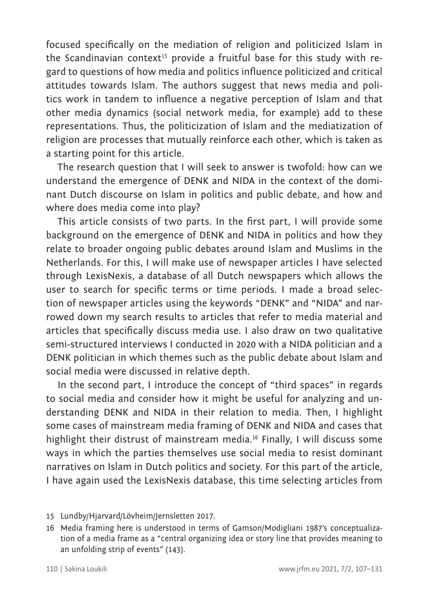focused specifically on the mediation of religion and politicized Islam in the Scandinavian context<sup>15</sup> provide a fruitful base for this study with regard to questions of how media and politics influence politicized and critical attitudes towards Islam. The authors suggest that news media and politics work in tandem to influence a negative perception of Islam and that other media dynamics (social network media, for example) add to these representations. Thus, the politicization of Islam and the mediatization of religion are processes that mutually reinforce each other, which is taken as a starting point for this article.

The research question that I will seek to answer is twofold: how can we understand the emergence of DENK and NIDA in the context of the dominant Dutch discourse on Islam in politics and public debate, and how and where does media come into play?

This article consists of two parts. In the first part, I will provide some background on the emergence of DENK and NIDA in politics and how they relate to broader ongoing public debates around Islam and Muslims in the Netherlands. For this, I will make use of newspaper articles I have selected through LexisNexis, a database of all Dutch newspapers which allows the user to search for specific terms or time periods. I made a broad selection of newspaper articles using the keywords "DENK" and "NIDA" and narrowed down my search results to articles that refer to media material and articles that specifically discuss media use. I also draw on two qualitative semi-structured interviews I conducted in 2020 with a NIDA politician and a DENK politician in which themes such as the public debate about Islam and social media were discussed in relative depth.

In the second part, I introduce the concept of "third spaces" in regards to social media and consider how it might be useful for analyzing and understanding DENK and NIDA in their relation to media. Then, I highlight some cases of mainstream media framing of DENK and NIDA and cases that highlight their distrust of mainstream media.<sup>16</sup> Finally, I will discuss some ways in which the parties themselves use social media to resist dominant narratives on Islam in Dutch politics and society. For this part of the article, I have again used the LexisNexis database, this time selecting articles from

<sup>15</sup> Lundby/Hjarvard/Lövheim/Jernsletten 2017.

<sup>16</sup> Media framing here is understood in terms of Gamson/Modigliani 1987's conceptualization of a media frame as a "central organizing idea or story line that provides meaning to an unfolding strip of events" (143).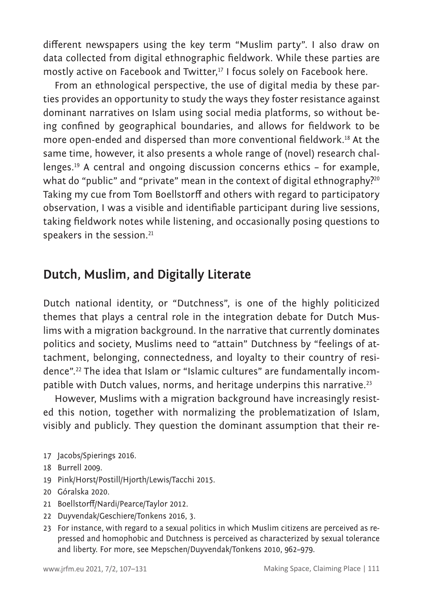different newspapers using the key term "Muslim party". I also draw on data collected from digital ethnographic fieldwork. While these parties are mostly active on Facebook and Twitter,<sup>17</sup> I focus solely on Facebook here.

From an ethnological perspective, the use of digital media by these parties provides an opportunity to study the ways they foster resistance against dominant narratives on Islam using social media platforms, so without being confined by geographical boundaries, and allows for fieldwork to be more open-ended and dispersed than more conventional fieldwork.18 At the same time, however, it also presents a whole range of (novel) research challenges.19 A central and ongoing discussion concerns ethics – for example, what do "public" and "private" mean in the context of digital ethnography?<sup>20</sup> Taking my cue from Tom Boellstorff and others with regard to participatory observation, I was a visible and identifiable participant during live sessions, taking fieldwork notes while listening, and occasionally posing questions to speakers in the session.<sup>21</sup>

## **Dutch, Muslim, and Digitally Literate**

Dutch national identity, or "Dutchness", is one of the highly politicized themes that plays a central role in the integration debate for Dutch Muslims with a migration background. In the narrative that currently dominates politics and society, Muslims need to "attain" Dutchness by "feelings of attachment, belonging, connectedness, and loyalty to their country of residence".22 The idea that Islam or "Islamic cultures" are fundamentally incompatible with Dutch values, norms, and heritage underpins this narrative.<sup>23</sup>

However, Muslims with a migration background have increasingly resisted this notion, together with normalizing the problematization of Islam, visibly and publicly. They question the dominant assumption that their re-

- 17 Jacobs/Spierings 2016.
- 18 Burrell 2009.
- 19 Pink/Horst/Postill/Hjorth/Lewis/Tacchi 2015.
- 20 Góralska 2020.
- 21 Boellstorff/Nardi/Pearce/Taylor 2012.
- 22 Duyvendak/Geschiere/Tonkens 2016, 3.
- 23 For instance, with regard to a sexual politics in which Muslim citizens are perceived as repressed and homophobic and Dutchness is perceived as characterized by sexual tolerance and liberty. For more, see Mepschen/Duyvendak/Tonkens 2010, 962–979.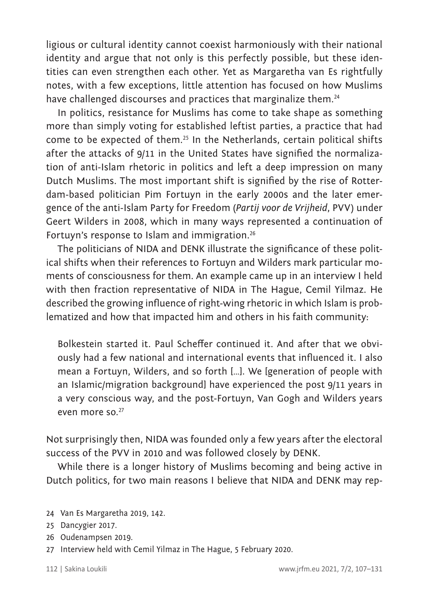ligious or cultural identity cannot coexist harmoniously with their national identity and argue that not only is this perfectly possible, but these identities can even strengthen each other. Yet as Margaretha van Es rightfully notes, with a few exceptions, little attention has focused on how Muslims have challenged discourses and practices that marginalize them.<sup>24</sup>

In politics, resistance for Muslims has come to take shape as something more than simply voting for established leftist parties, a practice that had come to be expected of them.25 In the Netherlands, certain political shifts after the attacks of 9/11 in the United States have signified the normalization of anti-Islam rhetoric in politics and left a deep impression on many Dutch Muslims. The most important shift is signified by the rise of Rotterdam-based politician Pim Fortuyn in the early 2000s and the later emergence of the anti-Islam Party for Freedom (*Partij voor de Vrijheid*, PVV) under Geert Wilders in 2008, which in many ways represented a continuation of Fortuyn's response to Islam and immigration.<sup>26</sup>

The politicians of NIDA and DENK illustrate the significance of these political shifts when their references to Fortuyn and Wilders mark particular moments of consciousness for them. An example came up in an interview I held with then fraction representative of NIDA in The Hague, Cemil Yilmaz. He described the growing influence of right-wing rhetoric in which Islam is problematized and how that impacted him and others in his faith community:

Bolkestein started it. Paul Scheffer continued it. And after that we obviously had a few national and international events that influenced it. I also mean a Fortuyn, Wilders, and so forth […]. We [generation of people with an Islamic/migration background] have experienced the post 9/11 years in a very conscious way, and the post-Fortuyn, Van Gogh and Wilders years even more so.<sup>27</sup>

Not surprisingly then, NIDA was founded only a few years after the electoral success of the PVV in 2010 and was followed closely by DENK.

While there is a longer history of Muslims becoming and being active in Dutch politics, for two main reasons I believe that NIDA and DENK may rep-

26 Oudenampsen 2019.

27 Interview held with Cemil Yilmaz in The Hague, 5 February 2020.

<sup>24</sup> Van Es Margaretha 2019, 142.

<sup>25</sup> Dancygier 2017.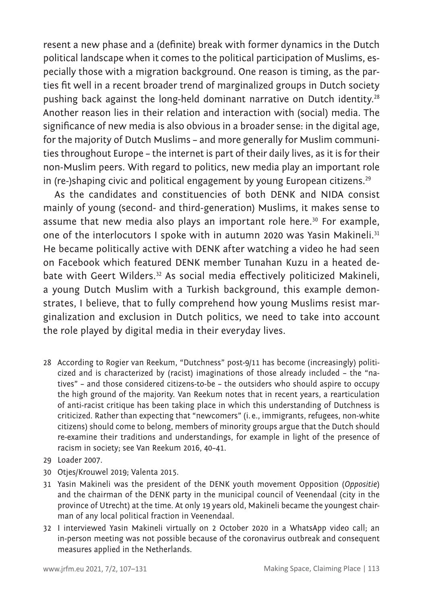resent a new phase and a (definite) break with former dynamics in the Dutch political landscape when it comes to the political participation of Muslims, especially those with a migration background. One reason is timing, as the parties fit well in a recent broader trend of marginalized groups in Dutch society pushing back against the long-held dominant narrative on Dutch identity.<sup>28</sup> Another reason lies in their relation and interaction with (social) media. The significance of new media is also obvious in a broader sense: in the digital age, for the majority of Dutch Muslims – and more generally for Muslim communities throughout Europe – the internet is part of their daily lives, as it is for their non-Muslim peers. With regard to politics, new media play an important role in (re-)shaping civic and political engagement by young European citizens.<sup>29</sup>

As the candidates and constituencies of both DENK and NIDA consist mainly of young (second- and third-generation) Muslims, it makes sense to assume that new media also plays an important role here.<sup>30</sup> For example, one of the interlocutors I spoke with in autumn 2020 was Yasin Makineli.<sup>31</sup> He became politically active with DENK after watching a video he had seen on Facebook which featured DENK member Tunahan Kuzu in a heated debate with Geert Wilders.<sup>32</sup> As social media effectively politicized Makineli, a young Dutch Muslim with a Turkish background, this example demonstrates, I believe, that to fully comprehend how young Muslims resist marginalization and exclusion in Dutch politics, we need to take into account the role played by digital media in their everyday lives.

- 28 According to Rogier van Reekum, "Dutchness" post-9/11 has become (increasingly) politicized and is characterized by (racist) imaginations of those already included – the "natives" – and those considered citizens-to-be – the outsiders who should aspire to occupy the high ground of the majority. Van Reekum notes that in recent years, a rearticulation of anti-racist critique has been taking place in which this understanding of Dutchness is criticized. Rather than expecting that "newcomers" (i. e., immigrants, refugees, non-white citizens) should come to belong, members of minority groups argue that the Dutch should re-examine their traditions and understandings, for example in light of the presence of racism in society; see Van Reekum 2016, 40–41.
- 29 Loader 2007.
- 30 Otjes/Krouwel 2019; Valenta 2015.
- 31 Yasin Makineli was the president of the DENK youth movement Opposition (*Oppositie*) and the chairman of the DENK party in the municipal council of Veenendaal (city in the province of Utrecht) at the time. At only 19 years old, Makineli became the youngest chairman of any local political fraction in Veenendaal.
- 32 I interviewed Yasin Makineli virtually on 2 October 2020 in a WhatsApp video call; an in-person meeting was not possible because of the coronavirus outbreak and consequent measures applied in the Netherlands.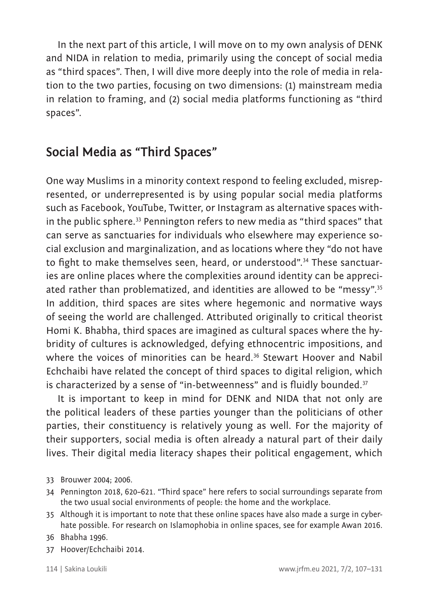In the next part of this article, I will move on to my own analysis of DENK and NIDA in relation to media, primarily using the concept of social media as "third spaces". Then, I will dive more deeply into the role of media in relation to the two parties, focusing on two dimensions: (1) mainstream media in relation to framing, and (2) social media platforms functioning as "third spaces".

# **Social Media as "Third Spaces"**

One way Muslims in a minority context respond to feeling excluded, misrepresented, or underrepresented is by using popular social media platforms such as Facebook, YouTube, Twitter, or Instagram as alternative spaces within the public sphere.<sup>33</sup> Pennington refers to new media as "third spaces" that can serve as sanctuaries for individuals who elsewhere may experience social exclusion and marginalization, and as locations where they "do not have to fight to make themselves seen, heard, or understood".<sup>34</sup> These sanctuaries are online places where the complexities around identity can be appreciated rather than problematized, and identities are allowed to be "messy".<sup>35</sup> In addition, third spaces are sites where hegemonic and normative ways of seeing the world are challenged. Attributed originally to critical theorist Homi K. Bhabha, third spaces are imagined as cultural spaces where the hybridity of cultures is acknowledged, defying ethnocentric impositions, and where the voices of minorities can be heard.<sup>36</sup> Stewart Hoover and Nabil Echchaibi have related the concept of third spaces to digital religion, which is characterized by a sense of "in-betweenness" and is fluidly bounded.<sup>37</sup>

It is important to keep in mind for DENK and NIDA that not only are the political leaders of these parties younger than the politicians of other parties, their constituency is relatively young as well. For the majority of their supporters, social media is often already a natural part of their daily lives. Their digital media literacy shapes their political engagement, which

- 33 Brouwer 2004; 2006.
- 34 Pennington 2018, 620–621. "Third space" here refers to social surroundings separate from the two usual social environments of people: the home and the workplace.
- 35 Although it is important to note that these online spaces have also made a surge in cyberhate possible. For research on Islamophobia in online spaces, see for example Awan 2016.
- 36 Bhabha 1996.
- 37 Hoover/Echchaibi 2014.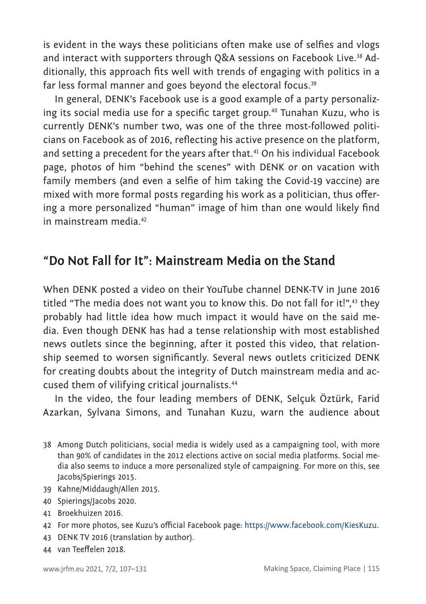is evident in the ways these politicians often make use of selfies and vlogs and interact with supporters through Q&A sessions on Facebook Live.<sup>38</sup> Additionally, this approach fits well with trends of engaging with politics in a far less formal manner and goes beyond the electoral focus.<sup>39</sup>

In general, DENK's Facebook use is a good example of a party personalizing its social media use for a specific target group.<sup>40</sup> Tunahan Kuzu, who is currently DENK's number two, was one of the three most-followed politicians on Facebook as of 2016, reflecting his active presence on the platform, and setting a precedent for the years after that.<sup>41</sup> On his individual Facebook page, photos of him "behind the scenes" with DENK or on vacation with family members (and even a selfie of him taking the Covid-19 vaccine) are mixed with more formal posts regarding his work as a politician, thus offering a more personalized "human" image of him than one would likely find in mainstream media.<sup>42</sup>

### **"Do Not Fall for It": Mainstream Media on the Stand**

When DENK posted a video on their YouTube channel DENK-TV in June 2016 titled "The media does not want you to know this. Do not fall for it!", $43$  they probably had little idea how much impact it would have on the said media. Even though DENK has had a tense relationship with most established news outlets since the beginning, after it posted this video, that relationship seemed to worsen significantly. Several news outlets criticized DENK for creating doubts about the integrity of Dutch mainstream media and accused them of vilifying critical journalists.<sup>44</sup>

In the video, the four leading members of DENK, Selçuk Öztürk, Farid Azarkan, Sylvana Simons, and Tunahan Kuzu, warn the audience about

- 38 Among Dutch politicians, social media is widely used as a campaigning tool, with more than 90% of candidates in the 2012 elections active on social media platforms. Social media also seems to induce a more personalized style of campaigning. For more on this, see Jacobs/Spierings 2015.
- 39 Kahne/Middaugh/Allen 2015.
- 40 Spierings/Jacobs 2020.
- 41 Broekhuizen 2016.
- 42 For more photos, see Kuzu's official Facebook page:<https://www.facebook.com/KiesKuzu>.
- 43 DENK TV 2016 (translation by author).
- 44 van Teeffelen 2018.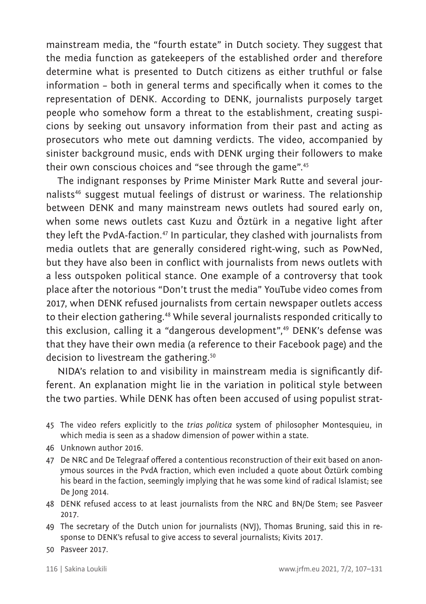mainstream media, the "fourth estate" in Dutch society. They suggest that the media function as gatekeepers of the established order and therefore determine what is presented to Dutch citizens as either truthful or false information – both in general terms and specifically when it comes to the representation of DENK. According to DENK, journalists purposely target people who somehow form a threat to the establishment, creating suspicions by seeking out unsavory information from their past and acting as prosecutors who mete out damning verdicts. The video, accompanied by sinister background music, ends with DENK urging their followers to make their own conscious choices and "see through the game".<sup>45</sup>

The indignant responses by Prime Minister Mark Rutte and several journalists<sup>46</sup> suggest mutual feelings of distrust or wariness. The relationship between DENK and many mainstream news outlets had soured early on, when some news outlets cast Kuzu and Öztürk in a negative light after they left the PvdA-faction.<sup>47</sup> In particular, they clashed with journalists from media outlets that are generally considered right-wing, such as PowNed, but they have also been in conflict with journalists from news outlets with a less outspoken political stance. One example of a controversy that took place after the notorious "Don't trust the media" YouTube video comes from 2017, when DENK refused journalists from certain newspaper outlets access to their election gathering.<sup>48</sup> While several journalists responded critically to this exclusion, calling it a "dangerous development",<sup>49</sup> DENK's defense was that they have their own media (a reference to their Facebook page) and the decision to livestream the gathering.<sup>50</sup>

NIDA's relation to and visibility in mainstream media is significantly different. An explanation might lie in the variation in political style between the two parties. While DENK has often been accused of using populist strat-

- 45 The video refers explicitly to the *trias politica* system of philosopher Montesquieu, in which media is seen as a shadow dimension of power within a state.
- 46 Unknown author 2016.
- 47 De NRC and De Telegraaf offered a contentious reconstruction of their exit based on anonymous sources in the PvdA fraction, which even included a quote about Öztürk combing his beard in the faction, seemingly implying that he was some kind of radical Islamist; see De Jong 2014.
- 48 DENK refused access to at least journalists from the NRC and BN/De Stem; see Pasveer 2017.
- 49 The secretary of the Dutch union for journalists (NVJ), Thomas Bruning, said this in response to DENK's refusal to give access to several journalists; Kivits 2017.
- 50 Pasveer 2017.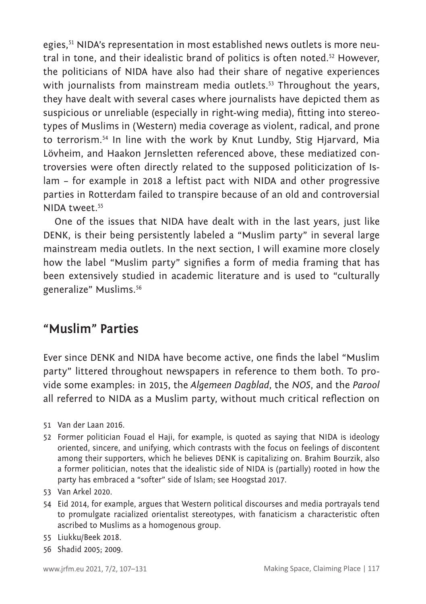egies,<sup>51</sup> NIDA's representation in most established news outlets is more neutral in tone, and their idealistic brand of politics is often noted.<sup>52</sup> However, the politicians of NIDA have also had their share of negative experiences with journalists from mainstream media outlets.<sup>53</sup> Throughout the years, they have dealt with several cases where journalists have depicted them as suspicious or unreliable (especially in right-wing media), fitting into stereotypes of Muslims in (Western) media coverage as violent, radical, and prone to terrorism.54 In line with the work by Knut Lundby, Stig Hjarvard, Mia Lövheim, and Haakon Jernsletten referenced above, these mediatized controversies were often directly related to the supposed politicization of Islam – for example in 2018 a leftist pact with NIDA and other progressive parties in Rotterdam failed to transpire because of an old and controversial NIDA tweet.<sup>55</sup>

One of the issues that NIDA have dealt with in the last years, just like DENK, is their being persistently labeled a "Muslim party" in several large mainstream media outlets. In the next section, I will examine more closely how the label "Muslim party" signifies a form of media framing that has been extensively studied in academic literature and is used to "culturally generalize" Muslims.<sup>56</sup>

### **"Muslim" Parties**

Ever since DENK and NIDA have become active, one finds the label "Muslim party" littered throughout newspapers in reference to them both. To provide some examples: in 2015, the *Algemeen Dagblad*, the *NOS*, and the *Parool* all referred to NIDA as a Muslim party, without much critical reflection on

- 51 Van der Laan 2016.
- 52 Former politician Fouad el Haji, for example, is quoted as saying that NIDA is ideology oriented, sincere, and unifying, which contrasts with the focus on feelings of discontent among their supporters, which he believes DENK is capitalizing on. Brahim Bourzik, also a former politician, notes that the idealistic side of NIDA is (partially) rooted in how the party has embraced a "softer" side of Islam; see Hoogstad 2017.
- 53 Van Arkel 2020.
- 54 Eid 2014, for example, argues that Western political discourses and media portrayals tend to promulgate racialized orientalist stereotypes, with fanaticism a characteristic often ascribed to Muslims as a homogenous group.
- 55 Liukku/Beek 2018.
- 56 Shadid 2005; 2009.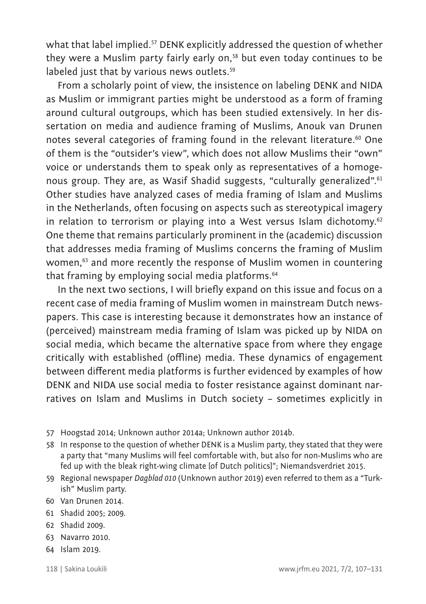what that label implied.<sup>57</sup> DENK explicitly addressed the question of whether they were a Muslim party fairly early on.<sup>58</sup> but even today continues to be labeled just that by various news outlets.<sup>59</sup>

From a scholarly point of view, the insistence on labeling DENK and NIDA as Muslim or immigrant parties might be understood as a form of framing around cultural outgroups, which has been studied extensively. In her dissertation on media and audience framing of Muslims, Anouk van Drunen notes several categories of framing found in the relevant literature.<sup>60</sup> One of them is the "outsider's view", which does not allow Muslims their "own" voice or understands them to speak only as representatives of a homogenous group. They are, as Wasif Shadid suggests, "culturally generalized".<sup>61</sup> Other studies have analyzed cases of media framing of Islam and Muslims in the Netherlands, often focusing on aspects such as stereotypical imagery in relation to terrorism or playing into a West versus Islam dichotomy.<sup>62</sup> One theme that remains particularly prominent in the (academic) discussion that addresses media framing of Muslims concerns the framing of Muslim women.<sup>63</sup> and more recently the response of Muslim women in countering that framing by emploving social media platforms.<sup>64</sup>

In the next two sections, I will briefly expand on this issue and focus on a recent case of media framing of Muslim women in mainstream Dutch newspapers. This case is interesting because it demonstrates how an instance of (perceived) mainstream media framing of Islam was picked up by NIDA on social media, which became the alternative space from where they engage critically with established (offline) media. These dynamics of engagement between different media platforms is further evidenced by examples of how DENK and NIDA use social media to foster resistance against dominant narratives on Islam and Muslims in Dutch society – sometimes explicitly in

- 57 Hoogstad 2014; Unknown author 2014a; Unknown author 2014b.
- 58 In response to the question of whether DENK is a Muslim party, they stated that they were a party that "many Muslims will feel comfortable with, but also for non-Muslims who are fed up with the bleak right-wing climate [of Dutch politics]"; Niemandsverdriet 2015.
- 59 Regional newspaper *Dagblad 010* (Unknown author 2019) even referred to them as a "Turkish" Muslim party.
- 60 Van Drunen 2014.
- 61 Shadid 2005; 2009.
- 62 Shadid 2009.
- 63 Navarro 2010.
- 64 Islam 2019.
-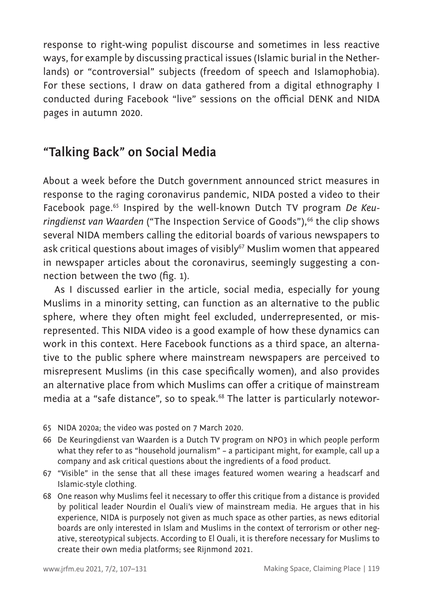response to right-wing populist discourse and sometimes in less reactive ways, for example by discussing practical issues (Islamic burial in the Netherlands) or "controversial" subjects (freedom of speech and Islamophobia). For these sections, I draw on data gathered from a digital ethnography I conducted during Facebook "live" sessions on the official DENK and NIDA pages in autumn 2020.

## **"Talking Back" on Social Media**

About a week before the Dutch government announced strict measures in response to the raging coronavirus pandemic, NIDA posted a video to their Facebook page.<sup>65</sup> Inspired by the well-known Dutch TV program *De Keuringdienst van Waarden* ("The Inspection Service of Goods"),<sup>66</sup> the clip shows several NIDA members calling the editorial boards of various newspapers to ask critical questions about images of visibly<sup>67</sup> Muslim women that appeared in newspaper articles about the coronavirus, seemingly suggesting a connection between the two (fig. 1).

As I discussed earlier in the article, social media, especially for young Muslims in a minority setting, can function as an alternative to the public sphere, where they often might feel excluded, underrepresented, or misrepresented. This NIDA video is a good example of how these dynamics can work in this context. Here Facebook functions as a third space, an alternative to the public sphere where mainstream newspapers are perceived to misrepresent Muslims (in this case specifically women), and also provides an alternative place from which Muslims can offer a critique of mainstream media at a "safe distance", so to speak.<sup>68</sup> The latter is particularly notewor-

- 65 NIDA 2020a; the video was posted on 7 March 2020.
- 66 De Keuringdienst van Waarden is a Dutch TV program on NPO3 in which people perform what they refer to as "household journalism" – a participant might, for example, call up a company and ask critical questions about the ingredients of a food product.
- 67 "Visible" in the sense that all these images featured women wearing a headscarf and Islamic-style clothing.
- 68 One reason why Muslims feel it necessary to offer this critique from a distance is provided by political leader Nourdin el Ouali's view of mainstream media. He argues that in his experience, NIDA is purposely not given as much space as other parties, as news editorial boards are only interested in Islam and Muslims in the context of terrorism or other negative, stereotypical subjects. According to El Ouali, it is therefore necessary for Muslims to create their own media platforms; see Rijnmond 2021.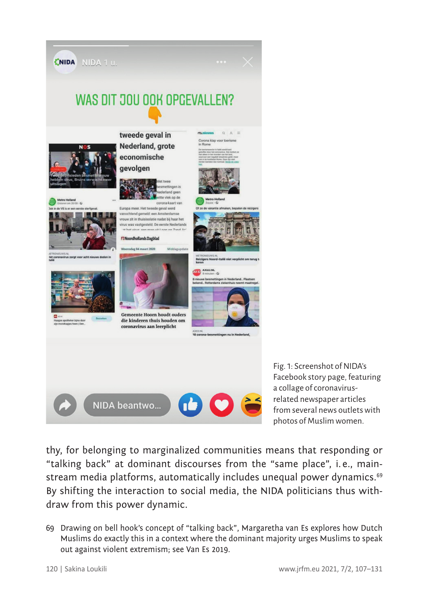

Fig. 1: Screenshot of NIDA's Facebook story page, featuring a collage of coronavirusrelated newspaper articles from several news outlets with photos of Muslim women.

thy, for belonging to marginalized communities means that responding or "talking back" at dominant discourses from the "same place", i. e., mainstream media platforms, automatically includes unequal power dynamics.<sup>69</sup> By shifting the interaction to social media, the NIDA politicians thus withdraw from this power dynamic.

69 Drawing on bell hook's concept of "talking back", Margaretha van Es explores how Dutch Muslims do exactly this in a context where the dominant majority urges Muslims to speak out against violent extremism; see Van Es 2019.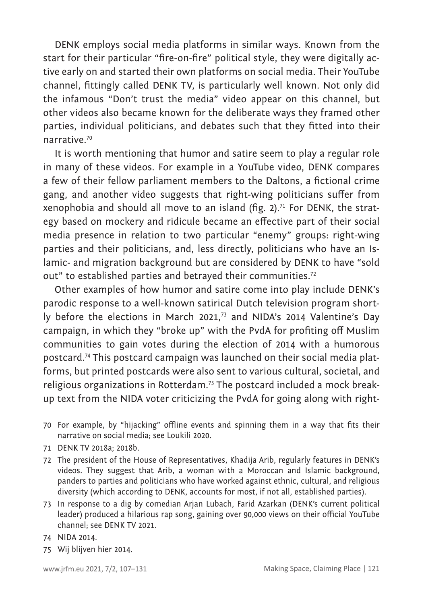DENK employs social media platforms in similar ways. Known from the start for their particular "fire-on-fire" political style, they were digitally active early on and started their own platforms on social media. Their YouTube channel, fittingly called DENK TV, is particularly well known. Not only did the infamous "Don't trust the media" video appear on this channel, but other videos also became known for the deliberate ways they framed other parties, individual politicians, and debates such that they fitted into their narrative.<sup>70</sup>

It is worth mentioning that humor and satire seem to play a regular role in many of these videos. For example in a YouTube video, DENK compares a few of their fellow parliament members to the Daltons, a fictional crime gang, and another video suggests that right-wing politicians suffer from xenophobia and should all move to an island (fig.  $2$ ).<sup>71</sup> For DENK, the strategy based on mockery and ridicule became an effective part of their social media presence in relation to two particular "enemy" groups: right-wing parties and their politicians, and, less directly, politicians who have an Islamic- and migration background but are considered by DENK to have "sold out" to established parties and betrayed their communities.<sup>72</sup>

Other examples of how humor and satire come into play include DENK's parodic response to a well-known satirical Dutch television program shortly before the elections in March 2021,<sup>73</sup> and NIDA's 2014 Valentine's Day campaign, in which they "broke up" with the PvdA for profiting off Muslim communities to gain votes during the election of 2014 with a humorous postcard.74 This postcard campaign was launched on their social media platforms, but printed postcards were also sent to various cultural, societal, and religious organizations in Rotterdam.75 The postcard included a mock breakup text from the NIDA voter criticizing the PvdA for going along with right-

- 70 For example, by "hijacking" offline events and spinning them in a way that fits their narrative on social media; see Loukili 2020.
- 71 DENK TV 2018a; 2018b.
- 72 The president of the House of Representatives, Khadija Arib, regularly features in DENK's videos. They suggest that Arib, a woman with a Moroccan and Islamic background, panders to parties and politicians who have worked against ethnic, cultural, and religious diversity (which according to DENK, accounts for most, if not all, established parties).
- 73 In response to a dig by comedian Arjan Lubach, Farid Azarkan (DENK's current political leader) produced a hilarious rap song, gaining over 90,000 views on their official YouTube channel; see DENK TV 2021.
- 74 NIDA 2014.
- 75 Wij blijven hier 2014.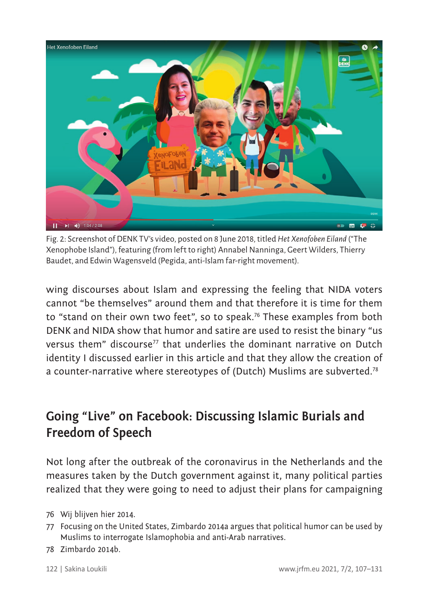

Fig. 2: Screenshot of DENK TV's video, posted on 8 June 2018, titled *Het Xenofoben Eiland* ("The Xenophobe Island"), featuring (from left to right) Annabel Nanninga, Geert Wilders, Thierry Baudet, and Edwin Wagensveld (Pegida, anti-Islam far-right movement).

wing discourses about Islam and expressing the feeling that NIDA voters cannot "be themselves" around them and that therefore it is time for them to "stand on their own two feet", so to speak.<sup>76</sup> These examples from both DENK and NIDA show that humor and satire are used to resist the binary "us versus them" discourse77 that underlies the dominant narrative on Dutch identity I discussed earlier in this article and that they allow the creation of a counter-narrative where stereotypes of (Dutch) Muslims are subverted.<sup>78</sup>

# **Going "Live" on Facebook: Discussing Islamic Burials and Freedom of Speech**

Not long after the outbreak of the coronavirus in the Netherlands and the measures taken by the Dutch government against it, many political parties realized that they were going to need to adjust their plans for campaigning

- 76 Wij blijven hier 2014.
- 77 Focusing on the United States, Zimbardo 2014a argues that political humor can be used by Muslims to interrogate Islamophobia and anti-Arab narratives.
- 78 Zimbardo 2014b.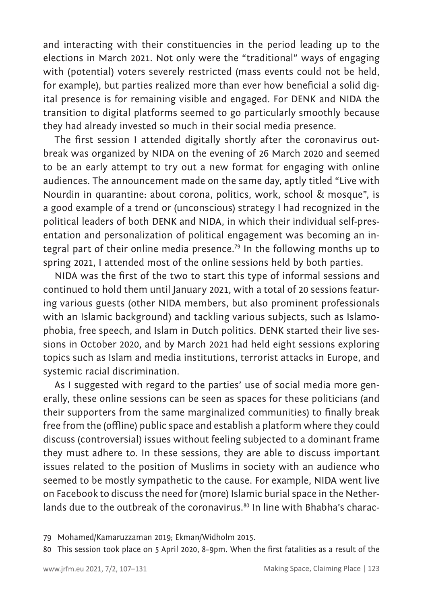and interacting with their constituencies in the period leading up to the elections in March 2021. Not only were the "traditional" ways of engaging with (potential) voters severely restricted (mass events could not be held, for example), but parties realized more than ever how beneficial a solid digital presence is for remaining visible and engaged. For DENK and NIDA the transition to digital platforms seemed to go particularly smoothly because they had already invested so much in their social media presence.

The first session I attended digitally shortly after the coronavirus outbreak was organized by NIDA on the evening of 26 March 2020 and seemed to be an early attempt to try out a new format for engaging with online audiences. The announcement made on the same day, aptly titled "Live with Nourdin in quarantine: about corona, politics, work, school & mosque", is a good example of a trend or (unconscious) strategy I had recognized in the political leaders of both DENK and NIDA, in which their individual self-presentation and personalization of political engagement was becoming an integral part of their online media presence.<sup>79</sup> In the following months up to spring 2021, I attended most of the online sessions held by both parties.

NIDA was the first of the two to start this type of informal sessions and continued to hold them until January 2021, with a total of 20 sessions featuring various guests (other NIDA members, but also prominent professionals with an Islamic background) and tackling various subjects, such as Islamophobia, free speech, and Islam in Dutch politics. DENK started their live sessions in October 2020, and by March 2021 had held eight sessions exploring topics such as Islam and media institutions, terrorist attacks in Europe, and systemic racial discrimination.

As I suggested with regard to the parties' use of social media more generally, these online sessions can be seen as spaces for these politicians (and their supporters from the same marginalized communities) to finally break free from the (offline) public space and establish a platform where they could discuss (controversial) issues without feeling subjected to a dominant frame they must adhere to. In these sessions, they are able to discuss important issues related to the position of Muslims in society with an audience who seemed to be mostly sympathetic to the cause. For example, NIDA went live on Facebook to discuss the need for (more) Islamic burial space in the Netherlands due to the outbreak of the coronavirus.<sup>80</sup> In line with Bhabha's charac-

<sup>79</sup> Mohamed/Kamaruzzaman 2019; Ekman/Widholm 2015.

<sup>80</sup> This session took place on 5 April 2020, 8–9pm. When the first fatalities as a result of the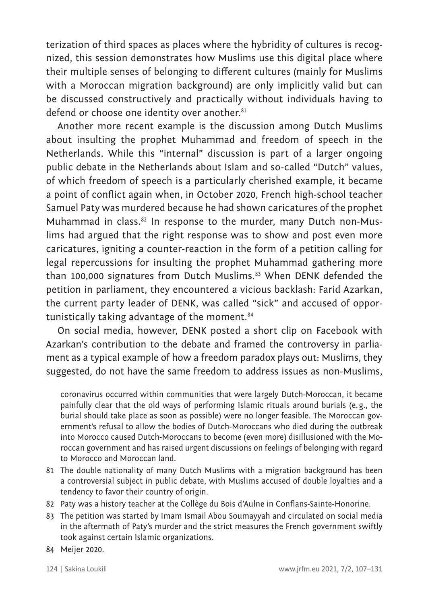terization of third spaces as places where the hybridity of cultures is recognized, this session demonstrates how Muslims use this digital place where their multiple senses of belonging to different cultures (mainly for Muslims with a Moroccan migration background) are only implicitly valid but can be discussed constructively and practically without individuals having to defend or choose one identity over another.<sup>81</sup>

Another more recent example is the discussion among Dutch Muslims about insulting the prophet Muhammad and freedom of speech in the Netherlands. While this "internal" discussion is part of a larger ongoing public debate in the Netherlands about Islam and so-called "Dutch" values, of which freedom of speech is a particularly cherished example, it became a point of conflict again when, in October 2020, French high-school teacher Samuel Paty was murdered because he had shown caricatures of the prophet Muhammad in class.<sup>82</sup> In response to the murder, many Dutch non-Muslims had argued that the right response was to show and post even more caricatures, igniting a counter-reaction in the form of a petition calling for legal repercussions for insulting the prophet Muhammad gathering more than 100,000 signatures from Dutch Muslims.<sup>83</sup> When DENK defended the petition in parliament, they encountered a vicious backlash: Farid Azarkan, the current party leader of DENK, was called "sick" and accused of opportunistically taking advantage of the moment.<sup>84</sup>

On social media, however, DENK posted a short clip on Facebook with Azarkan's contribution to the debate and framed the controversy in parliament as a typical example of how a freedom paradox plays out: Muslims, they suggested, do not have the same freedom to address issues as non-Muslims,

coronavirus occurred within communities that were largely Dutch-Moroccan, it became painfully clear that the old ways of performing Islamic rituals around burials (e.g., the burial should take place as soon as possible) were no longer feasible. The Moroccan government's refusal to allow the bodies of Dutch-Moroccans who died during the outbreak into Morocco caused Dutch-Moroccans to become (even more) disillusioned with the Moroccan government and has raised urgent discussions on feelings of belonging with regard to Morocco and Moroccan land.

- 81 The double nationality of many Dutch Muslims with a migration background has been a controversial subject in public debate, with Muslims accused of double loyalties and a tendency to favor their country of origin.
- 82 Paty was a history teacher at the Collège du Bois d'Aulne in Conflans-Sainte-Honorine.
- 83 The petition was started by Imam Ismail Abou Soumayyah and circulated on social media in the aftermath of Paty's murder and the strict measures the French government swiftly took against certain Islamic organizations.
- 84 Meijer 2020.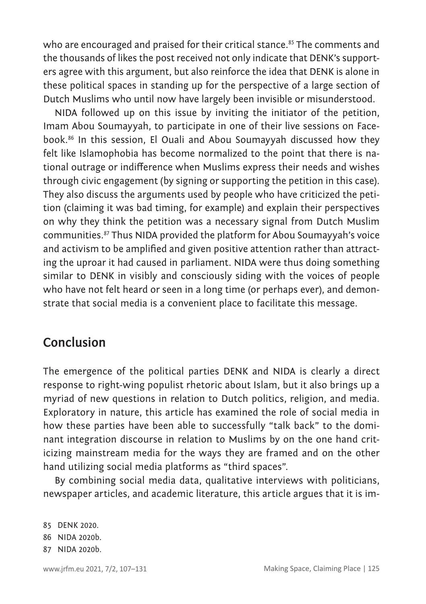who are encouraged and praised for their critical stance.<sup>85</sup> The comments and the thousands of likes the post received not only indicate that DENK's supporters agree with this argument, but also reinforce the idea that DENK is alone in these political spaces in standing up for the perspective of a large section of Dutch Muslims who until now have largely been invisible or misunderstood.

NIDA followed up on this issue by inviting the initiator of the petition, Imam Abou Soumayyah, to participate in one of their live sessions on Facebook.86 In this session, El Ouali and Abou Soumayyah discussed how they felt like Islamophobia has become normalized to the point that there is national outrage or indifference when Muslims express their needs and wishes through civic engagement (by signing or supporting the petition in this case). They also discuss the arguments used by people who have criticized the petition (claiming it was bad timing, for example) and explain their perspectives on why they think the petition was a necessary signal from Dutch Muslim communities.87 Thus NIDA provided the platform for Abou Soumayyah's voice and activism to be amplified and given positive attention rather than attracting the uproar it had caused in parliament. NIDA were thus doing something similar to DENK in visibly and consciously siding with the voices of people who have not felt heard or seen in a long time (or perhaps ever), and demonstrate that social media is a convenient place to facilitate this message.

# **Conclusion**

The emergence of the political parties DENK and NIDA is clearly a direct response to right-wing populist rhetoric about Islam, but it also brings up a myriad of new questions in relation to Dutch politics, religion, and media. Exploratory in nature, this article has examined the role of social media in how these parties have been able to successfully "talk back" to the dominant integration discourse in relation to Muslims by on the one hand criticizing mainstream media for the ways they are framed and on the other hand utilizing social media platforms as "third spaces".

By combining social media data, qualitative interviews with politicians, newspaper articles, and academic literature, this article argues that it is im-

85 DENK 2020. 86 NIDA 2020b. 87 NIDA 2020b.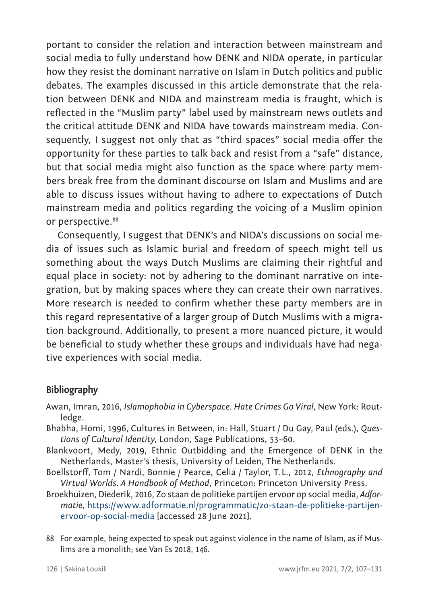portant to consider the relation and interaction between mainstream and social media to fully understand how DENK and NIDA operate, in particular how they resist the dominant narrative on Islam in Dutch politics and public debates. The examples discussed in this article demonstrate that the relation between DENK and NIDA and mainstream media is fraught, which is reflected in the "Muslim party" label used by mainstream news outlets and the critical attitude DENK and NIDA have towards mainstream media. Consequently, I suggest not only that as "third spaces" social media offer the opportunity for these parties to talk back and resist from a "safe" distance, but that social media might also function as the space where party members break free from the dominant discourse on Islam and Muslims and are able to discuss issues without having to adhere to expectations of Dutch mainstream media and politics regarding the voicing of a Muslim opinion or perspective.<sup>88</sup>

Consequently, I suggest that DENK's and NIDA's discussions on social media of issues such as Islamic burial and freedom of speech might tell us something about the ways Dutch Muslims are claiming their rightful and equal place in society: not by adhering to the dominant narrative on integration, but by making spaces where they can create their own narratives. More research is needed to confirm whether these party members are in this regard representative of a larger group of Dutch Muslims with a migration background. Additionally, to present a more nuanced picture, it would be beneficial to study whether these groups and individuals have had negative experiences with social media.

#### **Bibliography**

- Awan, Imran, 2016, *Islamophobia in Cyberspace. Hate Crimes Go Viral*, New York: Routledge.
- Bhabha, Homi, 1996, Cultures in Between, in: Hall, Stuart / Du Gay, Paul (eds.), *Questions of Cultural Identity*, London, Sage Publications, 53–60.
- Blankvoort, Medy, 2019, Ethnic Outbidding and the Emergence of DENK in the Netherlands, Master's thesis, University of Leiden, The Netherlands.
- Boellstorff, Tom / Nardi, Bonnie / Pearce, Celia / Taylor, T. L., 2012, *Ethnography and Virtual Worlds. A Handbook of Method*, Princeton: Princeton University Press.
- Broekhuizen, Diederik, 2016, Zo staan de politieke partijen ervoor op social media, *Adformatie*, [https://www.adformatie.nl/programmatic/zo-staan-de-politieke-partijen](https://www.adformatie.nl/programmatic/zo-staan-de-politieke-partijen-ervoor-op-social-media)[ervoor-op-social-media](https://www.adformatie.nl/programmatic/zo-staan-de-politieke-partijen-ervoor-op-social-media) [accessed 28 June 2021].
- 88 For example, being expected to speak out against violence in the name of Islam, as if Muslims are a monolith; see Van Es 2018, 146.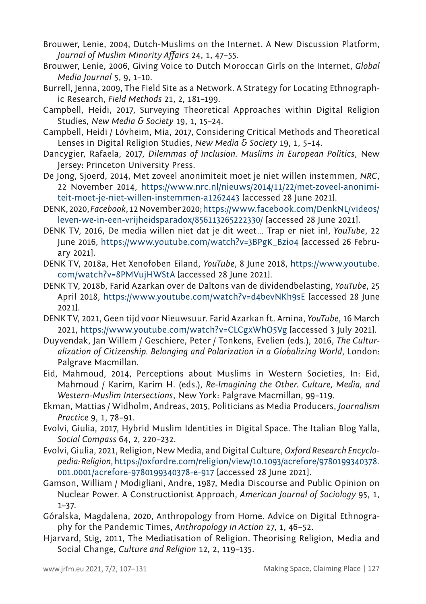- Brouwer, Lenie, 2004, Dutch*‐*Muslims on the Internet. A New Discussion Platform, *Journal of Muslim Minority Affairs* 24, 1, 47–55.
- Brouwer, Lenie, 2006, Giving Voice to Dutch Moroccan Girls on the Internet, *Global Media Journal* 5, 9, 1–10.
- Burrell. Ienna, 2009, The Field Site as a Network. A Strategy for Locating Ethnographic Research, *Field Methods* 21, 2, 181–199.
- Campbell, Heidi, 2017, Surveying Theoretical Approaches within Digital Religion Studies, *New Media & Society* 19, 1, 15–24.
- Campbell, Heidi / Lövheim, Mia, 2017, Considering Critical Methods and Theoretical Lenses in Digital Religion Studies, *New Media & Society* 19, 1, 5–14.
- Dancygier, Rafaela, 2017, *Dilemmas of Inclusion. Muslims in European Politics*, New Jersey: Princeton University Press.
- De Jong, Sjoerd, 2014, Met zoveel anonimiteit moet je niet willen instemmen, *NRC*, 22 November 2014, https://www.nrc.nl/nieuws/2014/11/22/met-zoveel-anonimiteit-moet-je-niet-willen-instemmen-a1262443 [accessed 28 June 2021].
- DENK, 2020, *Facebook*, 12 November 2020; [https://www.facebook.com/DenkNL/videos/](https://www.facebook.com/DenkNL/videos/leven-we-in-een-vrijheidsparadox/856113265222330/) [leven-we-in-een-vrijheidsparadox/856113265222330/](https://www.facebook.com/DenkNL/videos/leven-we-in-een-vrijheidsparadox/856113265222330/) [accessed 28 June 2021].
- DENK TV, 2016, De media willen niet dat je dit weet… Trap er niet in!, *YouTube*, 22 June 2016, https://www.youtube.com/watch?v=3BPgK\_Bzio4 [accessed 26 February 2021].
- DENK TV, 2018a, Het Xenofoben Eiland, *YouTube*, 8 June 2018, [https://www.youtube.](https://www.youtube.com/watch?v=8PMVujHWStA) [com/watch?v=8PMVujHWStA](https://www.youtube.com/watch?v=8PMVujHWStA) [accessed 28 June 2021].
- DENK TV, 2018b, Farid Azarkan over de Daltons van de dividendbelasting, *YouTube*, 25 April 2018, <https://www.youtube.com/watch?v=d4bevNKh9sE>[accessed 28 June 2021].
- DENK TV, 2021, Geen tijd voor Nieuwsuur. Farid Azarkan ft. Amina, *YouTube*, 16 March 2021, <https://www.youtube.com/watch?v=CLCgxWhO5Vg>[accessed 3 July 2021].
- Duyvendak, Jan Willem / Geschiere, Peter / Tonkens, Evelien (eds.), 2016, *The Culturalization of Citizenship. Belonging and Polarization in a Globalizing World*, London: Palgrave Macmillan.
- Eid, Mahmoud, 2014, Perceptions about Muslims in Western Societies, In: Eid, Mahmoud / Karim, Karim H. (eds.), *Re-Imagining the Other. Culture, Media, and Western-Muslim Intersections*, New York: Palgrave Macmillan, 99–119.
- Ekman, Mattias / Widholm, Andreas, 2015, Politicians as Media Producers, *Journalism Practice* 9, 1, 78–91.
- Evolvi, Giulia, 2017, Hybrid Muslim Identities in Digital Space. The Italian Blog Yalla, *Social Compass* 64, 2, 220–232.
- Evolvi, Giulia, 2021, Religion, New Media, and Digital Culture, *Oxford Research Encyclopedia: Religion*, [https://oxfordre.com/religion/view/10.1093/acrefore/9780199340378.](https://oxfordre.com/religion/view/10.1093/acrefore/9780199340378.001.0001/acrefore-9780199340378-e-917) [001.0001/acrefore-9780199340378-e-917](https://oxfordre.com/religion/view/10.1093/acrefore/9780199340378.001.0001/acrefore-9780199340378-e-917) [accessed 28 June 2021].
- Gamson, William / Modigliani, Andre, 1987, Media Discourse and Public Opinion on Nuclear Power. A Constructionist Approach, *American Journal of Sociology* 95, 1, 1–37.
- Góralska, Magdalena, 2020, Anthropology from Home. Advice on Digital Ethnography for the Pandemic Times, *Anthropology in Action* 27, 1, 46–52.
- Hjarvard, Stig, 2011, The Mediatisation of Religion. Theorising Religion, Media and Social Change, *Culture and Religion* 12, 2, 119–135.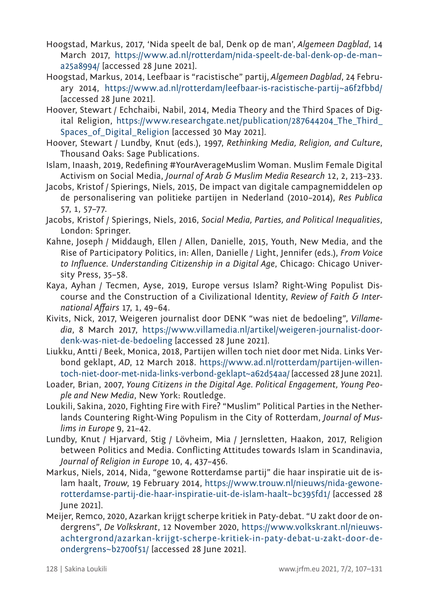- Hoogstad, Markus, 2017, 'Nida speelt de bal, Denk op de man', *Algemeen Dagblad*, 14 March 2017, [https://www.ad.nl/rotterdam/nida-speelt-de-bal-denk-op-de-man~](https://www.ad.nl/rotterdam/nida-speelt-de-bal-denk-op-de-man~a25a8994/) [a25a8994/](https://www.ad.nl/rotterdam/nida-speelt-de-bal-denk-op-de-man~a25a8994/) [accessed 28 June 2021].
- Hoogstad, Markus, 2014, Leefbaar is "racistische" partij, *Algemeen Dagblad*, 24 February 2014, <https://www.ad.nl/rotterdam/leefbaar-is-racistische-partij~a6f2fbbd/> [accessed 28 June 2021].
- Hoover, Stewart / Echchaibi, Nabil, 2014, Media Theory and the Third Spaces of Digital Religion, https://www.researchgate.net/publication/287644204 The Third Spaces of Digital Religion laccessed 30 May 2021].
- Hoover, Stewart / Lundby, Knut (eds.), 1997, *Rethinking Media, Religion, and Culture*, Thousand Oaks: Sage Publications.
- Islam, Inaash, 2019, Redefining #YourAverageMuslim Woman. Muslim Female Digital Activism on Social Media, *Journal of Arab & Muslim Media Research* 12, 2, 213–233.
- Jacobs, Kristof / Spierings, Niels, 2015, De impact van digitale campagnemiddelen op de personalisering van politieke partijen in Nederland (2010–2014), *Res Publica* 57, 1, 57–77.
- Jacobs, Kristof / Spierings, Niels, 2016, *Social Media, Parties, and Political Inequalities*, London: Springer.
- Kahne, Joseph / Middaugh, Ellen / Allen, Danielle, 2015, Youth, New Media, and the Rise of Participatory Politics, in: Allen, Danielle / Light, Jennifer (eds.), *From Voice to Influence. Understanding Citizenship in a Digital Age*, Chicago: Chicago University Press, 35–58.
- Kaya, Ayhan / Tecmen, Ayse, 2019, Europe versus Islam? Right-Wing Populist Discourse and the Construction of a Civilizational Identity, *Review of Faith & International Affairs* 17, 1, 49–64.
- Kivits, Nick, 2017, Weigeren journalist door DENK "was niet de bedoeling", *Villamedia*, 8 March 2017, https://www.villamedia.nl/artikel/weigeren-journalist-doordenk-was-niet-de-bedoeling [accessed 28 June 2021].
- Liukku, Antti / Beek, Monica, 2018, Partijen willen toch niet door met Nida. Links Verbond geklapt, *AD*, 12 March 2018. [https://www.ad.nl/rotterdam/partijen-willen](https://www.ad.nl/rotterdam/partijen-willen-toch-niet-door-met-nida-links-verbond-geklapt~a62d54aa/)[toch-niet-door-met-nida-links-verbond-geklapt~a62d54aa/](https://www.ad.nl/rotterdam/partijen-willen-toch-niet-door-met-nida-links-verbond-geklapt~a62d54aa/) [accessed 28 June 2021].
- Loader, Brian, 2007, *Young Citizens in the Digital Age. Political Engagement, Young People and New Media*, New York: Routledge.
- Loukili, Sakina, 2020, Fighting Fire with Fire? "Muslim" Political Parties in the Netherlands Countering Right-Wing Populism in the City of Rotterdam, *Journal of Muslims in Europe* 9, 21–42.
- Lundby, Knut / Hjarvard, Stig / Lövheim, Mia / Jernsletten, Haakon, 2017, Religion between Politics and Media. Conflicting Attitudes towards Islam in Scandinavia, *Journal of Religion in Europe* 10, 4, 437–456.
- Markus, Niels, 2014, Nida, "gewone Rotterdamse partij" die haar inspiratie uit de islam haalt, *Trouw*, 19 February 2014, https://www.trouw.nl/nieuws/nida-gewonerotterdamse-partij-die-haar-inspiratie-uit-de-islam-haalt~bc395fd1/ [accessed 28 June 2021].
- Meijer, Remco, 2020, Azarkan krijgt scherpe kritiek in Paty-debat. "U zakt door de ondergrens", *De Volkskrant*, 12 November 2020, https://www.volkskrant.nl/nieuwsachtergrond/azarkan-krijgt-scherpe-kritiek-in-paty-debat-u-zakt-door-deondergrens~b2700f51/ [accessed 28 June 2021].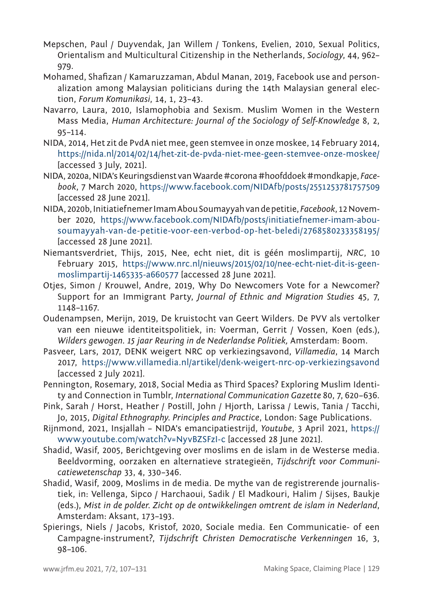- Mepschen, Paul / Duyvendak, Jan Willem / Tonkens, Evelien, 2010, Sexual Politics, Orientalism and Multicultural Citizenship in the Netherlands, *Sociology*, 44, 962– 979.
- Mohamed, Shafizan / Kamaruzzaman, Abdul Manan, 2019, Facebook use and personalization among Malaysian politicians during the 14th Malaysian general election, *Forum Komunikasi*, 14, 1, 23–43.
- Navarro, Laura, 2010, Islamophobia and Sexism. Muslim Women in the Western Mass Media, *Human Architecture: Journal of the Sociology of Self-Knowledge* 8, 2, 95–114.
- NIDA, 2014, Het zit de PvdA niet mee, geen stemvee in onze moskee, 14 February 2014, <https://nida.nl/2014/02/14/het-zit-de-pvda-niet-mee-geen-stemvee-onze-moskee/> [accessed 3 July, 2021].
- NIDA, 2020a, NIDA's Keuringsdienst van Waarde #corona #hoofddoek #mondkapje, *Facebook*, 7 March 2020, https://www.facebook.com/NIDAfb/posts/2551253781757509 [accessed 28 June 2021].
- NIDA, 2020b, Initiatiefnemer Imam Abou Soumayyah van de petitie, *Facebook*, 12 November 2020, [https://www.facebook.com/NIDAfb/posts/initiatiefnemer-imam-abou](https://www.facebook.com/NIDAfb/posts/initiatiefnemer-imam-abou-soumayyah-van-de-petitie-voor-een-verbod-op-het-beledi/2768580233358195/)[soumayyah-van-de-petitie-voor-een-verbod-op-het-beledi/2768580233358195/](https://www.facebook.com/NIDAfb/posts/initiatiefnemer-imam-abou-soumayyah-van-de-petitie-voor-een-verbod-op-het-beledi/2768580233358195/) [accessed 28 June 2021].
- Niemantsverdriet, Thijs, 2015, Nee, echt niet, dit is géén moslimpartij, *NRC*, 10 February 2015, [https://www.nrc.nl/nieuws/2015/02/10/nee-echt-niet-dit-is-geen](https://www.nrc.nl/nieuws/2015/02/10/nee-echt-niet-dit-is-geen-moslimpartij-1465335-a660577)[moslimpartij-1465335-a660577](https://www.nrc.nl/nieuws/2015/02/10/nee-echt-niet-dit-is-geen-moslimpartij-1465335-a660577) [accessed 28 June 2021].
- Otjes, Simon / Krouwel, Andre, 2019, Why Do Newcomers Vote for a Newcomer? Support for an Immigrant Party, *Journal of Ethnic and Migration Studies* 45, 7, 1148–1167.
- Oudenampsen, Merijn, 2019, De kruistocht van Geert Wilders. De PVV als vertolker van een nieuwe identiteitspolitiek, in: Voerman, Gerrit / Vossen, Koen (eds.), *Wilders gewogen. 15 jaar Reuring in de Nederlandse Politiek,* Amsterdam: Boom.
- Pasveer, Lars, 2017, DENK weigert NRC op verkiezingsavond, *Villamedia*, 14 March 2017, <https://www.villamedia.nl/artikel/denk-weigert-nrc-op-verkiezingsavond> [accessed 2 July 2021].
- Pennington, Rosemary, 2018, Social Media as Third Spaces? Exploring Muslim Identity and Connection in Tumblr, *International Communication Gazette* 80, 7, 620–636.
- Pink, Sarah / Horst, Heather / Postill, John / Hjorth, Larissa / Lewis, Tania / Tacchi, Jo, 2015, *Digital Ethnography. Principles and Practice*, London: Sage Publications.
- Rijnmond, 2021, Insjallah NIDA's emancipatiestrijd, *Youtube*, 3 April 2021, [https://](https://www.youtube.com/watch?v=NyvBZSFzI-c) [www.youtube.com/watch?v=NyvBZSFzI-c](https://www.youtube.com/watch?v=NyvBZSFzI-c) [accessed 28 June 2021].
- Shadid, Wasif, 2005, Berichtgeving over moslims en de islam in de Westerse media. Beeldvorming, oorzaken en alternatieve strategieën, *Tijdschrift voor Communicatiewetenschap* 33, 4, 330–346.
- Shadid, Wasif, 2009, Moslims in de media. De mythe van de registrerende journalistiek, in: Vellenga, Sipco / Harchaoui, Sadik / El Madkouri, Halim / Sijses, Baukje (eds.), *Mist in de polder. Zicht op de ontwikkelingen omtrent de islam in Nederland*, Amsterdam: Aksant, 173–193.
- Spierings, Niels / Jacobs, Kristof, 2020, Sociale media. Een Communicatie- of een Campagne-instrument?, *Tijdschrift Christen Democratische Verkenningen* 16, 3, 98–106.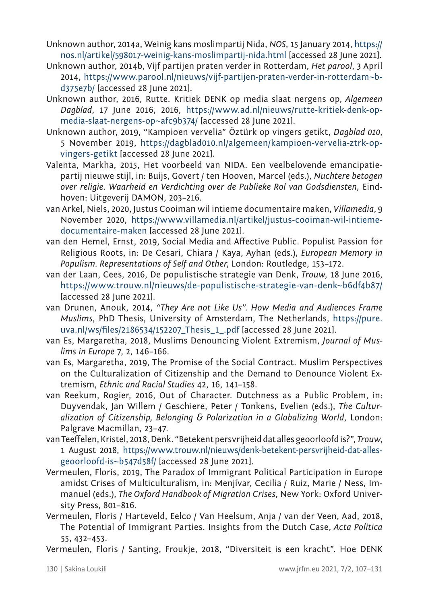- Unknown author, 2014a, Weinig kans moslimpartij Nida, *NOS*, 15 January 2014, https:// nos.nl/artikel/598017-weinig-kans-moslimpartij-nida.html [accessed 28 June 2021].
- Unknown author, 2014b, Vijf partijen praten verder in Rotterdam, *Het parool*, 3 April 2014, [https://www.parool.nl/nieuws/vijf-partijen-praten-verder-in-rotterdam~b](https://www.parool.nl/nieuws/vijf-partijen-praten-verder-in-rotterdam~bd375e7b/)[d375e7b/](https://www.parool.nl/nieuws/vijf-partijen-praten-verder-in-rotterdam~bd375e7b/) [accessed 28 June 2021].
- Unknown author, 2016, Rutte. Kritiek DENK op media slaat nergens op, *Algemeen Dagblad*, 17 June 2016, 2016, [https://www.ad.nl/nieuws/rutte-kritiek-denk-op](https://www.ad.nl/nieuws/rutte-kritiek-denk-op-media-slaat-nergens-op~afc9b374/)[media-slaat-nergens-op~afc9b374/](https://www.ad.nl/nieuws/rutte-kritiek-denk-op-media-slaat-nergens-op~afc9b374/) [accessed 28 June 2021].
- Unknown author, 2019, "Kampioen vervelia" Öztürk op vingers getikt, *Dagblad 010*, 5 November 2019, [https://dagblad010.nl/algemeen/kampioen-vervelia-ztrk-op](https://dagblad010.nl/algemeen/kampioen-vervelia-ztrk-op-vingers-getikt)[vingers-getikt](https://dagblad010.nl/algemeen/kampioen-vervelia-ztrk-op-vingers-getikt) [accessed 28 June 2021].
- Valenta, Markha, 2015, Het voorbeeld van NIDA. Een veelbelovende emancipatiepartij nieuwe stijl, in: Buijs, Govert / ten Hooven, Marcel (eds.), *Nuchtere betogen over religie. Waarheid en Verdichting over de Publieke Rol van Godsdiensten*, Eindhoven: Uitgeverij DAMON, 203–216.
- van Arkel, Niels, 2020, Justus Cooiman wil intieme documentaire maken, *Villamedia*, 9 November 2020, https://www.villamedia.nl/artikel/justus-cooiman-wil-intiemedocumentaire-maken [accessed 28 June 2021].
- van den Hemel, Ernst, 2019, Social Media and Affective Public. Populist Passion for Religious Roots, in: De Cesari, Chiara / Kaya, Ayhan (eds.), *European Memory in Populism. Representations of Self and Other*, London: Routledge, 153–172.
- van der Laan, Cees, 2016, De populistische strategie van Denk, *Trouw*, 18 June 2016, https://www.trouw.nl/nieuws/de-populistische-strategie-van-denk~b6df4b87/ [accessed 28 June 2021].
- van Drunen, Anouk, 2014, *"They Are not Like Us". How Media and Audiences Frame Muslims*, PhD Thesis, University of Amsterdam, The Netherlands, [https://pure.](https://pure.uva.nl/ws/files/2186534/152207_Thesis_1_.pdf) [uva.nl/ws/files/2186534/152207\\_Thesis\\_1\\_.pdf](https://pure.uva.nl/ws/files/2186534/152207_Thesis_1_.pdf) [accessed 28 June 2021].
- van Es, Margaretha, 2018, Muslims Denouncing Violent Extremism, *Journal of Muslims in Europe* 7, 2, 146–166.
- van Es, Margaretha, 2019, The Promise of the Social Contract. Muslim Perspectives on the Culturalization of Citizenship and the Demand to Denounce Violent Extremism, *Ethnic and Racial Studies* 42, 16, 141–158.
- van Reekum, Rogier, 2016, Out of Character. Dutchness as a Public Problem, in: Duyvendak, Jan Willem / Geschiere, Peter / Tonkens, Evelien (eds.), *The Culturalization of Citizenship, Belonging & Polarization in a Globalizing World*, London: Palgrave Macmillan, 23–47.
- van Teeffelen, Kristel, 2018, Denk. "Betekent persvrijheid dat alles geoorloofd is?", *Trouw*, 1 August 2018, [https://www.trouw.nl/nieuws/denk-betekent-persvrijheid-dat-alles](https://www.trouw.nl/nieuws/denk-betekent-persvrijheid-dat-alles-geoorloofd-is~b547d58f/)[geoorloofd-is~b547d58f/](https://www.trouw.nl/nieuws/denk-betekent-persvrijheid-dat-alles-geoorloofd-is~b547d58f/) [accessed 28 June 2021].
- Vermeulen, Floris, 2019, The Paradox of Immigrant Political Participation in Europe amidst Crises of Multiculturalism, in: Menjívar, Cecilia / Ruiz, Marie / Ness, Immanuel (eds.), *The Oxford Handbook of Migration Crises*, New York: Oxford University Press, 801–816.
- Vermeulen, Floris / Harteveld, Eelco / Van Heelsum, Anja / van der Veen, Aad, 2018, The Potential of Immigrant Parties. Insights from the Dutch Case, *Acta Politica* 55, 432–453.
- Vermeulen, Floris / Santing, Froukje, 2018, "Diversiteit is een kracht". Hoe DENK